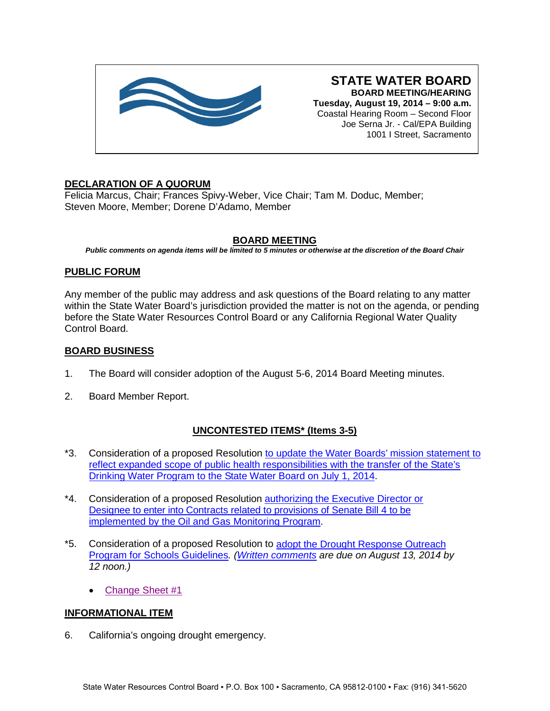

**STATE WATER BOARD BOARD MEETING/HEARING Tuesday, August 19, 2014 – 9:00 a.m.** Coastal Hearing Room – Second Floor Joe Serna Jr. - Cal/EPA Building 1001 I Street, Sacramento

# **DECLARATION OF A QUORUM**

Felicia Marcus, Chair; Frances Spivy-Weber, Vice Chair; Tam M. Doduc, Member; Steven Moore, Member; Dorene D'Adamo, Member

# **BOARD MEETING**

*Public comments on agenda items will be limited to 5 minutes or otherwise at the discretion of the Board Chair*

### **PUBLIC FORUM**

Any member of the public may address and ask questions of the Board relating to any matter within the State Water Board's jurisdiction provided the matter is not on the agenda, or pending before the State Water Resources Control Board or any California Regional Water Quality Control Board.

### **BOARD BUSINESS**

- 1. The Board will consider adoption of the August 5-6, 2014 Board Meeting minutes.
- 2. Board Member Report.

# **UNCONTESTED ITEMS\* (Items 3-5)**

- \*3. Consideration of a proposed Resolution [to update the Water Boards' mission statement to](http://www.waterboards.ca.gov/board_info/agendas/2014/aug/081914_3.pdf)  [reflect expanded scope of public health responsibilities with the transfer of the State's](http://www.waterboards.ca.gov/board_info/agendas/2014/aug/081914_3.pdf)  [Drinking Water Program to the State Water Board on July 1, 2014.](http://www.waterboards.ca.gov/board_info/agendas/2014/aug/081914_3.pdf)
- \*4. Consideration of a proposed Resolution authorizing [the Executive Director](http://www.waterboards.ca.gov/board_info/agendas/2014/aug/081914_4.pdf) or Designee to enter into Contracts [related to provisions of Senate Bill 4](http://www.waterboards.ca.gov/board_info/agendas/2014/aug/081914_4.pdf) to be implemented by the [Oil and Gas Monitoring](http://www.waterboards.ca.gov/board_info/agendas/2014/aug/081914_4.pdf) Program.
- \*5. Consideration of a proposed Resolution to adopt the Drought [Response Outreach](http://www.waterboards.ca.gov/board_info/agendas/2014/aug/081914_5.pdf)  [Program for Schools Guidelines](http://www.waterboards.ca.gov/board_info/agendas/2014/aug/081914_5.pdf)*. [\(Written comments](http://www.waterboards.ca.gov/water_issues/programs/grants_loans/drops/comments_081314.shtml) are due on August 13, 2014 by 12 noon.)*
	- [Change Sheet #1](http://www.waterboards.ca.gov/board_info/agendas/2014/aug/081914_5chgsht1.pdf)

### **INFORMATIONAL ITEM**

6. California's ongoing drought emergency.